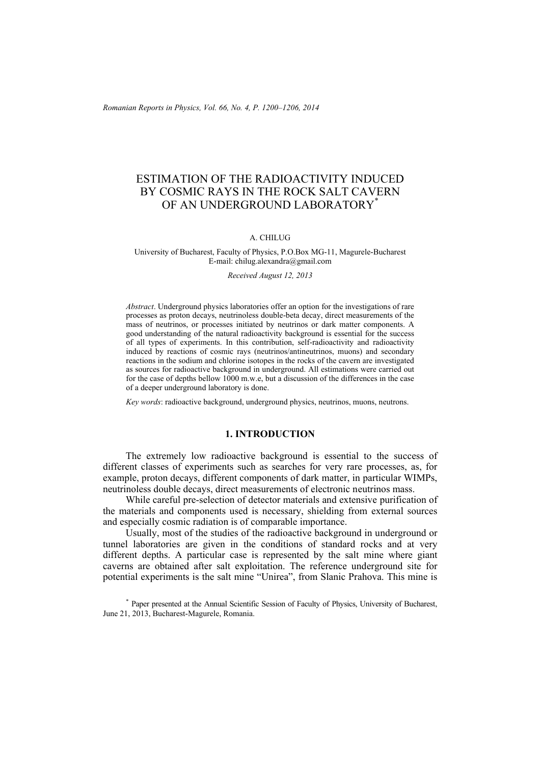*Romanian Reports in Physics, Vol. 66, No. 4, P. 1200–1206, 2014*

# ESTIMATION OF THE RADIOACTIVITY INDUCED BY COSMIC RAYS IN THE ROCK SALT CAVERN OF AN UNDERGROUND LABORATORY\*

### A. CHILUG

University of Bucharest, Faculty of Physics, P.O.Box MG-11, Magurele-Bucharest E-mail: chilug.alexandra@gmail.com

*Received August 12, 2013* 

*Abstract*. Underground physics laboratories offer an option for the investigations of rare processes as proton decays, neutrinoless double-beta decay, direct measurements of the mass of neutrinos, or processes initiated by neutrinos or dark matter components. A good understanding of the natural radioactivity background is essential for the success of all types of experiments. In this contribution, self-radioactivity and radioactivity induced by reactions of cosmic rays (neutrinos/antineutrinos, muons) and secondary reactions in the sodium and chlorine isotopes in the rocks of the cavern are investigated as sources for radioactive background in underground. All estimations were carried out for the case of depths bellow 1000 m.w.e, but a discussion of the differences in the case of a deeper underground laboratory is done.

*Key words*: radioactive background, underground physics, neutrinos, muons, neutrons.

### **1. INTRODUCTION**

The extremely low radioactive background is essential to the success of different classes of experiments such as searches for very rare processes, as, for example, proton decays, different components of dark matter, in particular WIMPs, neutrinoless double decays, direct measurements of electronic neutrinos mass.

While careful pre-selection of detector materials and extensive purification of the materials and components used is necessary, shielding from external sources and especially cosmic radiation is of comparable importance.

Usually, most of the studies of the radioactive background in underground or tunnel laboratories are given in the conditions of standard rocks and at very different depths. A particular case is represented by the salt mine where giant caverns are obtained after salt exploitation. The reference underground site for potential experiments is the salt mine "Unirea", from Slanic Prahova. This mine is

\* Paper presented at the Annual Scientific Session of Faculty of Physics, University of Bucharest, June 21, 2013, Bucharest-Magurele, Romania.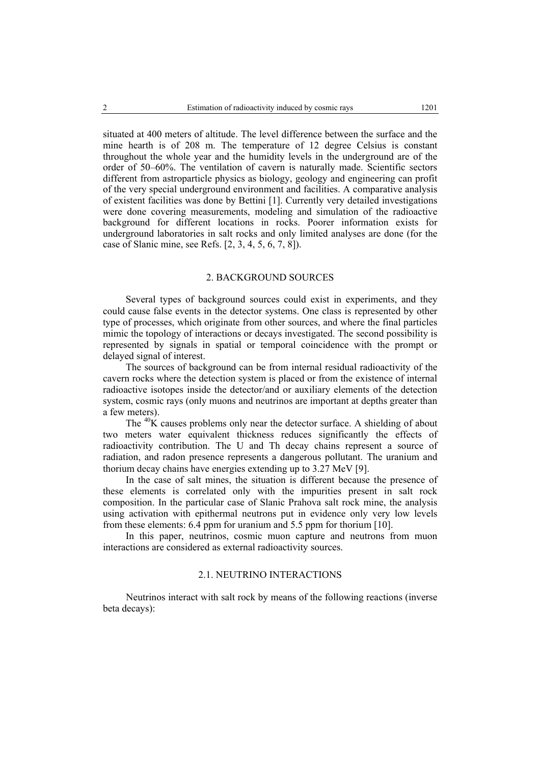situated at 400 meters of altitude. The level difference between the surface and the mine hearth is of 208 m. The temperature of 12 degree Celsius is constant throughout the whole year and the humidity levels in the underground are of the order of 50–60%. The ventilation of cavern is naturally made. Scientific sectors different from astroparticle physics as biology, geology and engineering can profit of the very special underground environment and facilities. A comparative analysis of existent facilities was done by Bettini [1]. Currently very detailed investigations were done covering measurements, modeling and simulation of the radioactive background for different locations in rocks. Poorer information exists for underground laboratories in salt rocks and only limited analyses are done (for the case of Slanic mine, see Refs. [2, 3, 4, 5, 6, 7, 8]).

### 2. BACKGROUND SOURCES

Several types of background sources could exist in experiments, and they could cause false events in the detector systems. One class is represented by other type of processes, which originate from other sources, and where the final particles mimic the topology of interactions or decays investigated. The second possibility is represented by signals in spatial or temporal coincidence with the prompt or delayed signal of interest.

The sources of background can be from internal residual radioactivity of the cavern rocks where the detection system is placed or from the existence of internal radioactive isotopes inside the detector/and or auxiliary elements of the detection system, cosmic rays (only muons and neutrinos are important at depths greater than a few meters).

The  ${}^{40}$ K causes problems only near the detector surface. A shielding of about two meters water equivalent thickness reduces significantly the effects of radioactivity contribution. The U and Th decay chains represent a source of radiation, and radon presence represents a dangerous pollutant. The uranium and thorium decay chains have energies extending up to 3.27 MeV [9].

In the case of salt mines, the situation is different because the presence of these elements is correlated only with the impurities present in salt rock composition. In the particular case of Slanic Prahova salt rock mine, the analysis using activation with epithermal neutrons put in evidence only very low levels from these elements: 6.4 ppm for uranium and 5.5 ppm for thorium [10].

In this paper, neutrinos, cosmic muon capture and neutrons from muon interactions are considered as external radioactivity sources.

# 2.1. NEUTRINO INTERACTIONS

Neutrinos interact with salt rock by means of the following reactions (inverse beta decays):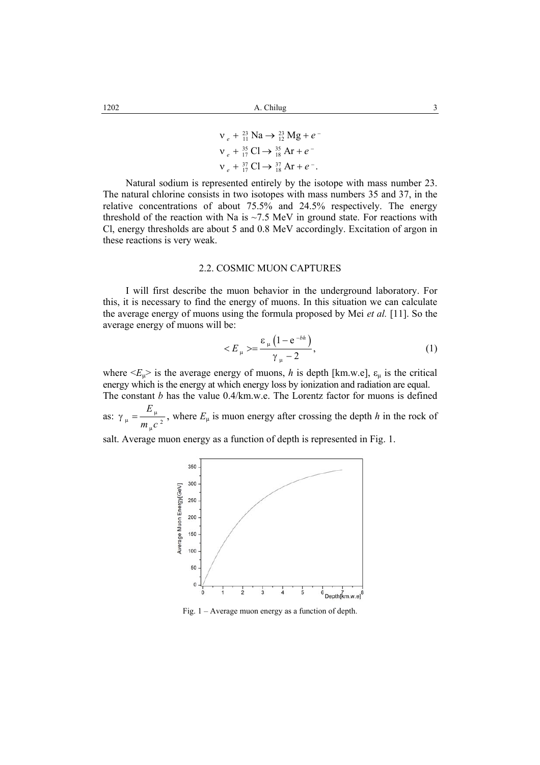$$
v_e + {}^{23}_{11} \text{ Na} \rightarrow {}^{23}_{12} \text{ Mg} + e^-
$$
  
\n
$$
v_e + {}^{35}_{17} \text{Cl} \rightarrow {}^{35}_{18} \text{Ar} + e^-
$$
  
\n
$$
v_e + {}^{37}_{17} \text{Cl} \rightarrow {}^{37}_{18} \text{Ar} + e^-.
$$

Natural sodium is represented entirely by the isotope with mass number 23. The natural chlorine consists in two isotopes with mass numbers 35 and 37, in the relative concentrations of about 75.5% and 24.5% respectively. The energy threshold of the reaction with Na is  $\sim$ 7.5 MeV in ground state. For reactions with Cl, energy thresholds are about 5 and 0.8 MeV accordingly. Excitation of argon in these reactions is very weak.

### 2.2. COSMIC MUON CAPTURES

I will first describe the muon behavior in the underground laboratory. For this, it is necessary to find the energy of muons. In this situation we can calculate the average energy of muons using the formula proposed by Mei *et al.* [11]. So the average energy of muons will be:

$$
\langle E_{\mu} \rangle = \frac{\varepsilon_{\mu} \left( 1 - e^{-bh} \right)}{\gamma_{\mu} - 2},\tag{1}
$$

where  $\langle E_{\mu} \rangle$  is the average energy of muons, *h* is depth [km.w.e],  $\varepsilon_{\mu}$  is the critical energy which is the energy at which energy loss by ionization and radiation are equal. The constant *b* has the value 0.4/km.w.e. The Lorentz factor for muons is defined *E*

as:  $\gamma_{\mu} = \frac{-\mu}{m_e c^2}$ *m c* µ µ µ  $\gamma_{\mu} = \frac{E_{\mu}}{r}$ , where  $E_{\mu}$  is muon energy after crossing the depth *h* in the rock of

salt. Average muon energy as a function of depth is represented in Fig. 1.



Fig. 1 – Average muon energy as a function of depth.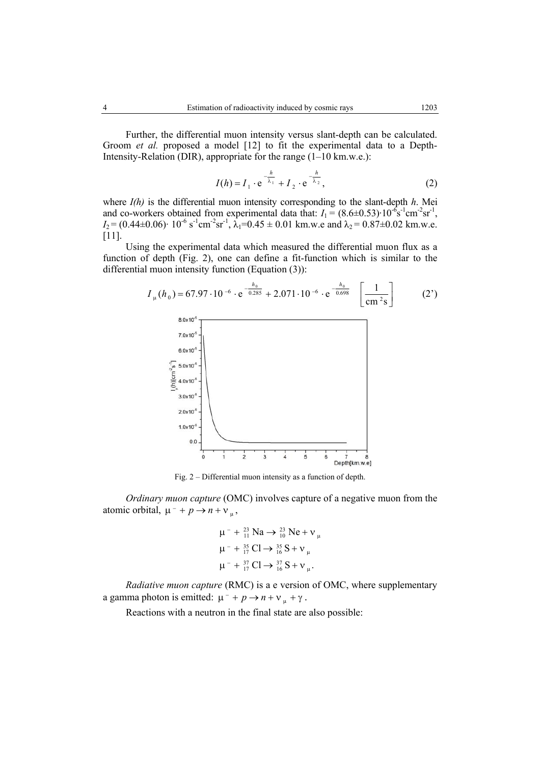Further, the differential muon intensity versus slant-depth can be calculated. Groom *et al.* proposed a model [12] to fit the experimental data to a Depth-Intensity-Relation (DIR), appropriate for the range (1–10 km.w.e.):

$$
I(h) = I_1 \cdot e^{-\frac{h}{\lambda_1}} + I_2 \cdot e^{-\frac{h}{\lambda_2}},
$$
 (2)

where *I(h)* is the differential muon intensity corresponding to the slant-depth *h*. Mei and co-workers obtained from experimental data that:  $I_1 = (8.6 \pm 0.53) \cdot 10^{-6} \text{s}^{-1} \text{cm}^{-2} \text{sr}^{-1}$ ,  $I_2 = (0.44 \pm 0.06) \cdot 10^{-6} \text{ s}^{-1} \text{cm}^{-2} \text{sr}^{-1}$ ,  $\lambda_1 = 0.45 \pm 0.01 \text{ km}$ .w.e and  $\lambda_2 = 0.87 \pm 0.02 \text{ km}$ .w.e. [11].

Using the experimental data which measured the differential muon flux as a function of depth (Fig. 2), one can define a fit-function which is similar to the differential muon intensity function (Equation (3)):



Fig. 2 – Differential muon intensity as a function of depth.

*Ordinary muon capture* (OMC) involves capture of a negative muon from the atomic orbital,  $\mu^- + p \rightarrow n + v_u$ ,

$$
\mu^{-} + {}^{23}_{11} \text{ Na} \rightarrow {}^{23}_{10} \text{Ne} + \text{v}_{\mu}
$$
  

$$
\mu^{-} + {}^{35}_{17} \text{Cl} \rightarrow {}^{35}_{16} \text{S} + \text{v}_{\mu}
$$
  

$$
\mu^{-} + {}^{37}_{17} \text{Cl} \rightarrow {}^{37}_{16} \text{S} + \text{v}_{\mu}.
$$

*Radiative muon capture* (RMC) is a e version of OMC, where supplementary a gamma photon is emitted:  $\mu^- + p \rightarrow n + \nu_\mu + \gamma$ .

Reactions with a neutron in the final state are also possible: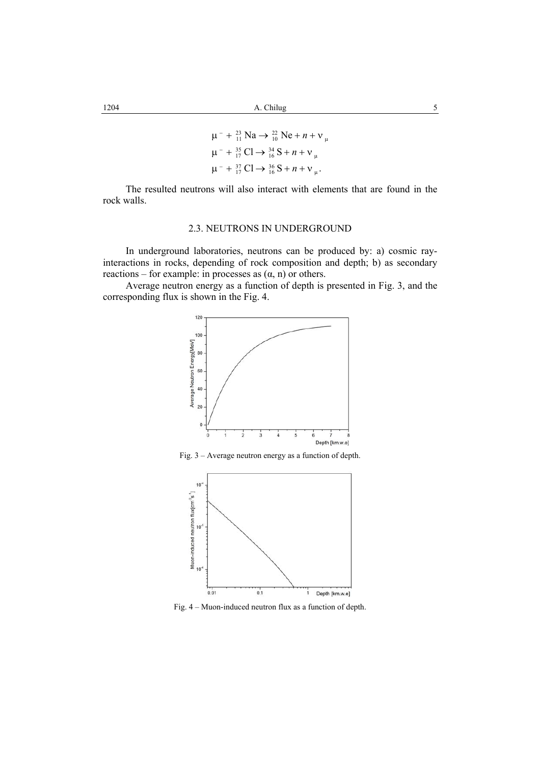$$
\mu^{-} + {}^{23}_{11} \text{ Na} \rightarrow {}^{22}_{10} \text{Ne} + n + \text{v}_{\mu}
$$
  

$$
\mu^{-} + {}^{35}_{17} \text{Cl} \rightarrow {}^{34}_{16} \text{S} + n + \text{v}_{\mu}
$$
  

$$
\mu^{-} + {}^{37}_{17} \text{Cl} \rightarrow {}^{36}_{16} \text{S} + n + \text{v}_{\mu}.
$$

The resulted neutrons will also interact with elements that are found in the rock walls.

# 2.3. NEUTRONS IN UNDERGROUND

In underground laboratories, neutrons can be produced by: a) cosmic rayinteractions in rocks, depending of rock composition and depth; b) as secondary reactions – for example: in processes as  $(\alpha, n)$  or others.

Average neutron energy as a function of depth is presented in Fig. 3, and the corresponding flux is shown in the Fig. 4.



Fig. 3 – Average neutron energy as a function of depth.



Fig. 4 – Muon-induced neutron flux as a function of depth.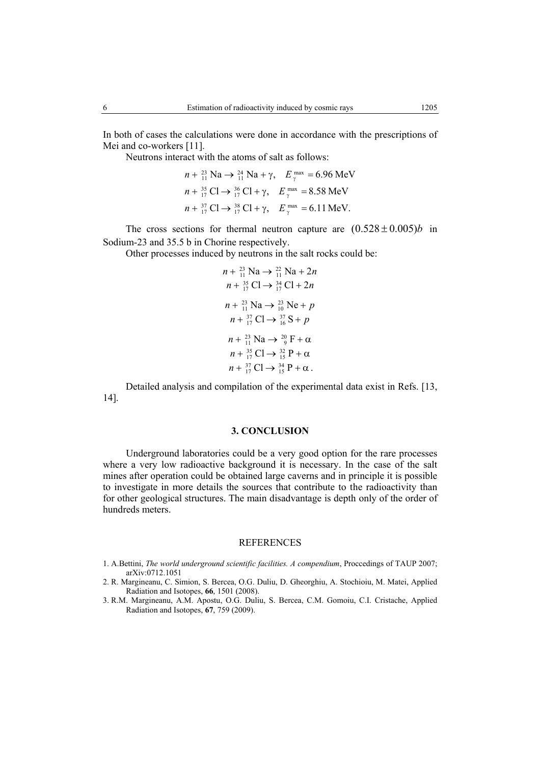In both of cases the calculations were done in accordance with the prescriptions of Mei and co-workers [11].

Neutrons interact with the atoms of salt as follows:

$$
n + \frac{23}{11} \text{ Na} \rightarrow \frac{24}{11} \text{ Na} + \gamma, \quad E_{\gamma}^{\text{max}} = 6.96 \text{ MeV}
$$
\n
$$
n + \frac{35}{17} \text{ Cl} \rightarrow \frac{36}{17} \text{ Cl} + \gamma, \quad E_{\gamma}^{\text{max}} = 8.58 \text{ MeV}
$$
\n
$$
n + \frac{37}{17} \text{ Cl} \rightarrow \frac{38}{17} \text{ Cl} + \gamma, \quad E_{\gamma}^{\text{max}} = 6.11 \text{ MeV}.
$$

The cross sections for thermal neutron capture are  $(0.528 \pm 0.005)b$  in Sodium-23 and 35.5 b in Chorine respectively.

Other processes induced by neutrons in the salt rocks could be:

$$
n + \frac{23}{11} \text{ Na} \rightarrow \frac{22}{11} \text{ Na} + 2n
$$
  
\n
$$
n + \frac{35}{17} \text{ Cl} \rightarrow \frac{34}{17} \text{ Cl} + 2n
$$
  
\n
$$
n + \frac{23}{11} \text{ Na} \rightarrow \frac{23}{10} \text{ Ne} + p
$$
  
\n
$$
n + \frac{37}{17} \text{ Cl} \rightarrow \frac{37}{16} \text{ S} + p
$$
  
\n
$$
n + \frac{23}{11} \text{ Na} \rightarrow \frac{20}{9} \text{ F} + \alpha
$$
  
\n
$$
n + \frac{35}{17} \text{ Cl} \rightarrow \frac{32}{15} \text{ P} + \alpha
$$
  
\n
$$
n + \frac{37}{17} \text{ Cl} \rightarrow \frac{34}{15} \text{ P} + \alpha
$$

Detailed analysis and compilation of the experimental data exist in Refs. [13, 14].

#### **3. CONCLUSION**

 Underground laboratories could be a very good option for the rare processes where a very low radioactive background it is necessary. In the case of the salt mines after operation could be obtained large caverns and in principle it is possible to investigate in more details the sources that contribute to the radioactivity than for other geological structures. The main disadvantage is depth only of the order of hundreds meters.

#### REFERENCES

- 1. A.Bettini, *The world underground scientific facilities. A compendium*, Proccedings of TAUP 2007; arXiv:0712.1051
- 2. R. Margineanu, C. Simion, S. Bercea, O.G. Duliu, D. Gheorghiu, A. Stochioiu, M. Matei, Applied Radiation and Isotopes, **66**, 1501 (2008).
- 3. R.M. Margineanu, A.M. Apostu, O.G. Duliu, S. Bercea, C.M. Gomoiu, C.I. Cristache, Applied Radiation and Isotopes, **67**, 759 (2009).